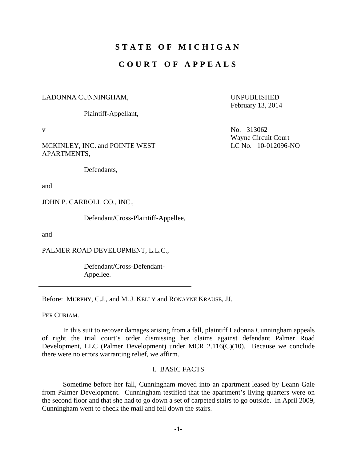# **STATE OF MICHIGAN**

# **COURT OF APPEALS**

#### LADONNA CUNNINGHAM,

Plaintiff-Appellant,

MCKINLEY, INC. and POINTE WEST APARTMENTS,

Defendants,

and

JOHN P. CARROLL CO., INC.,

Defendant/Cross-Plaintiff-Appellee,

and

PALMER ROAD DEVELOPMENT, L.L.C.,

 Defendant/Cross-Defendant-Appellee.

Before: MURPHY, C.J., and M. J. KELLY and RONAYNE KRAUSE, JJ.

PER CURIAM.

 In this suit to recover damages arising from a fall, plaintiff Ladonna Cunningham appeals of right the trial court's order dismissing her claims against defendant Palmer Road Development, LLC (Palmer Development) under MCR 2.116(C)(10). Because we conclude there were no errors warranting relief, we affirm.

# I. BASIC FACTS

 Sometime before her fall, Cunningham moved into an apartment leased by Leann Gale from Palmer Development. Cunningham testified that the apartment's living quarters were on the second floor and that she had to go down a set of carpeted stairs to go outside. In April 2009, Cunningham went to check the mail and fell down the stairs.

UNPUBLISHED February 13, 2014

v No. 313062 Wayne Circuit Court LC No. 10-012096-NO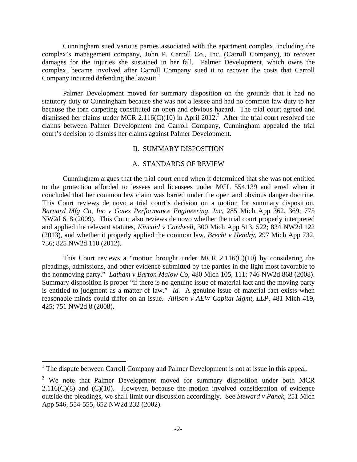Cunningham sued various parties associated with the apartment complex, including the complex's management company, John P. Carroll Co., Inc. (Carroll Company), to recover damages for the injuries she sustained in her fall. Palmer Development, which owns the complex, became involved after Carroll Company sued it to recover the costs that Carroll Company incurred defending the lawsuit.<sup>1</sup>

 Palmer Development moved for summary disposition on the grounds that it had no statutory duty to Cunningham because she was not a lessee and had no common law duty to her because the torn carpeting constituted an open and obvious hazard. The trial court agreed and dismissed her claims under MCR 2.116(C)(10) in April 2012.<sup>2</sup> After the trial court resolved the claims between Palmer Development and Carroll Company, Cunningham appealed the trial court's decision to dismiss her claims against Palmer Development.

### II. SUMMARY DISPOSITION

## A. STANDARDS OF REVIEW

 Cunningham argues that the trial court erred when it determined that she was not entitled to the protection afforded to lessees and licensees under MCL 554.139 and erred when it concluded that her common law claim was barred under the open and obvious danger doctrine. This Court reviews de novo a trial court's decision on a motion for summary disposition. *Barnard Mfg Co, Inc v Gates Performance Engineering, Inc*, 285 Mich App 362, 369; 775 NW2d 618 (2009). This Court also reviews de novo whether the trial court properly interpreted and applied the relevant statutes, *Kincaid v Cardwell*, 300 Mich App 513, 522; 834 NW2d 122 (2013), and whether it properly applied the common law, *Brecht v Hendry*, 297 Mich App 732, 736; 825 NW2d 110 (2012).

This Court reviews a "motion brought under MCR  $2.116(C)(10)$  by considering the pleadings, admissions, and other evidence submitted by the parties in the light most favorable to the nonmoving party." *Latham v Barton Malow Co*, 480 Mich 105, 111; 746 NW2d 868 (2008). Summary disposition is proper "if there is no genuine issue of material fact and the moving party is entitled to judgment as a matter of law." *Id.* A genuine issue of material fact exists when reasonable minds could differ on an issue. *Allison v AEW Capital Mgmt, LLP*, 481 Mich 419, 425; 751 NW2d 8 (2008).

<sup>&</sup>lt;sup>1</sup> The dispute between Carroll Company and Palmer Development is not at issue in this appeal.

<sup>&</sup>lt;sup>2</sup> We note that Palmer Development moved for summary disposition under both MCR  $2.116(C)(8)$  and  $(C)(10)$ . However, because the motion involved consideration of evidence outside the pleadings, we shall limit our discussion accordingly. See *Steward v Panek*, 251 Mich App 546, 554-555, 652 NW2d 232 (2002).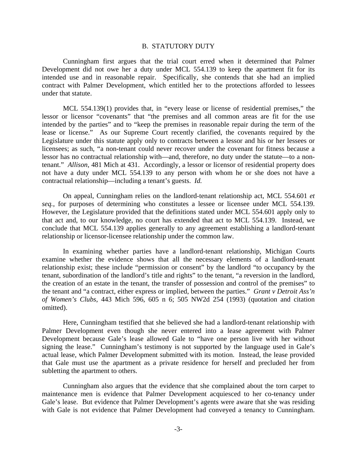#### B. STATUTORY DUTY

 Cunningham first argues that the trial court erred when it determined that Palmer Development did not owe her a duty under MCL 554.139 to keep the apartment fit for its intended use and in reasonable repair. Specifically, she contends that she had an implied contract with Palmer Development, which entitled her to the protections afforded to lessees under that statute.

 MCL 554.139(1) provides that, in "every lease or license of residential premises," the lessor or licensor "covenants" that "the premises and all common areas are fit for the use intended by the parties" and to "keep the premises in reasonable repair during the term of the lease or license." As our Supreme Court recently clarified, the covenants required by the Legislature under this statute apply only to contracts between a lessor and his or her lessees or licensees; as such, "a non-tenant could never recover under the covenant for fitness because a lessor has no contractual relationship with—and, therefore, no duty under the statute—to a nontenant." *Allison*, 481 Mich at 431. Accordingly, a lessor or licensor of residential property does not have a duty under MCL 554.139 to any person with whom he or she does not have a contractual relationship—including a tenant's guests. *Id.*

 On appeal, Cunningham relies on the landlord-tenant relationship act, MCL 554.601 *et seq.*, for purposes of determining who constitutes a lessee or licensee under MCL 554.139. However, the Legislature provided that the definitions stated under MCL 554.601 apply only to that act and, to our knowledge, no court has extended that act to MCL 554.139. Instead, we conclude that MCL 554.139 applies generally to any agreement establishing a landlord-tenant relationship or licensor-licensee relationship under the common law.

 In examining whether parties have a landlord-tenant relationship, Michigan Courts examine whether the evidence shows that all the necessary elements of a landlord-tenant relationship exist; these include "permission or consent" by the landlord "to occupancy by the tenant, subordination of the landlord's title and rights" to the tenant, "a reversion in the landlord, the creation of an estate in the tenant, the transfer of possession and control of the premises" to the tenant and "a contract, either express or implied, between the parties." *Grant v Detroit Ass'n of Women's Clubs*, 443 Mich 596, 605 n 6; 505 NW2d 254 (1993) (quotation and citation omitted).

 Here, Cunningham testified that she believed she had a landlord-tenant relationship with Palmer Development even though she never entered into a lease agreement with Palmer Development because Gale's lease allowed Gale to "have one person live with her without signing the lease." Cunningham's testimony is not supported by the language used in Gale's actual lease, which Palmer Development submitted with its motion. Instead, the lease provided that Gale must use the apartment as a private residence for herself and precluded her from subletting the apartment to others.

 Cunningham also argues that the evidence that she complained about the torn carpet to maintenance men is evidence that Palmer Development acquiesced to her co-tenancy under Gale's lease. But evidence that Palmer Development's agents were aware that she was residing with Gale is not evidence that Palmer Development had conveyed a tenancy to Cunningham.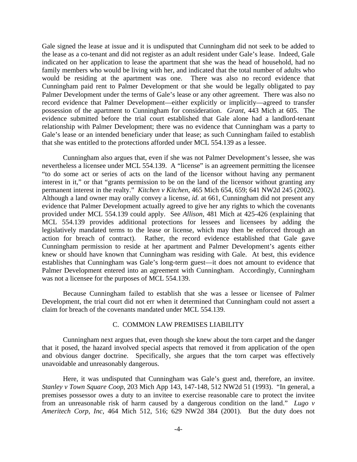Gale signed the lease at issue and it is undisputed that Cunningham did not seek to be added to the lease as a co-tenant and did not register as an adult resident under Gale's lease. Indeed, Gale indicated on her application to lease the apartment that she was the head of household, had no family members who would be living with her, and indicated that the total number of adults who would be residing at the apartment was one. There was also no record evidence that Cunningham paid rent to Palmer Development or that she would be legally obligated to pay Palmer Development under the terms of Gale's lease or any other agreement. There was also no record evidence that Palmer Development—either explicitly or implicitly—agreed to transfer possession of the apartment to Cunningham for consideration. *Grant*, 443 Mich at 605. The evidence submitted before the trial court established that Gale alone had a landlord-tenant relationship with Palmer Development; there was no evidence that Cunningham was a party to Gale's lease or an intended beneficiary under that lease; as such Cunningham failed to establish that she was entitled to the protections afforded under MCL 554.139 as a lessee.

 Cunningham also argues that, even if she was not Palmer Development's lessee, she was nevertheless a licensee under MCL 554.139. A "license" is an agreement permitting the licensee "to do some act or series of acts on the land of the licensor without having any permanent interest in it," or that "grants permission to be on the land of the licensor without granting any permanent interest in the realty." *Kitchen v Kitchen*, 465 Mich 654, 659; 641 NW2d 245 (2002). Although a land owner may orally convey a license, *id.* at 661, Cunningham did not present any evidence that Palmer Development actually agreed to give her any rights to which the covenants provided under MCL 554.139 could apply. See *Allison*, 481 Mich at 425-426 (explaining that MCL 554.139 provides additional protections for lessees and licensees by adding the legislatively mandated terms to the lease or license, which may then be enforced through an action for breach of contract). Rather, the record evidence established that Gale gave Cunningham permission to reside at her apartment and Palmer Development's agents either knew or should have known that Cunningham was residing with Gale. At best, this evidence establishes that Cunningham was Gale's long-term guest—it does not amount to evidence that Palmer Development entered into an agreement with Cunningham. Accordingly, Cunningham was not a licensee for the purposes of MCL 554.139.

 Because Cunningham failed to establish that she was a lessee or licensee of Palmer Development, the trial court did not err when it determined that Cunningham could not assert a claim for breach of the covenants mandated under MCL 554.139.

## C. COMMON LAW PREMISES LIABILITY

 Cunningham next argues that, even though she knew about the torn carpet and the danger that it posed, the hazard involved special aspects that removed it from application of the open and obvious danger doctrine. Specifically, she argues that the torn carpet was effectively unavoidable and unreasonably dangerous.

 Here, it was undisputed that Cunningham was Gale's guest and, therefore, an invitee. *Stanley v Town Square Coop*, 203 Mich App 143, 147-148, 512 NW2d 51 (1993). "In general, a premises possessor owes a duty to an invitee to exercise reasonable care to protect the invitee from an unreasonable risk of harm caused by a dangerous condition on the land." *Lugo v Ameritech Corp, Inc*, 464 Mich 512, 516; 629 NW2d 384 (2001). But the duty does not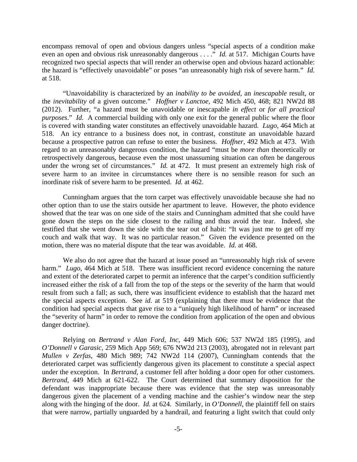encompass removal of open and obvious dangers unless "special aspects of a condition make even an open and obvious risk unreasonably dangerous . . . ." *Id.* at 517. Michigan Courts have recognized two special aspects that will render an otherwise open and obvious hazard actionable: the hazard is "effectively unavoidable" or poses "an unreasonably high risk of severe harm." *Id.* at 518.

 "Unavoidability is characterized by an *inability to be avoided*, an *inescapable* result, or the *inevitability* of a given outcome." *Hoffner v Lanctoe*, 492 Mich 450, 468; 821 NW2d 88 (2012). Further, "a hazard must be unavoidable or inescapable *in effect* or *for all practical purposes*." *Id.* A commercial building with only one exit for the general public where the floor is covered with standing water constitutes an effectively unavoidable hazard. *Lugo*, 464 Mich at 518. An icy entrance to a business does not, in contrast, constitute an unavoidable hazard because a prospective patron can refuse to enter the business. *Hoffner*, 492 Mich at 473. With regard to an unreasonably dangerous condition, the hazard "must be *more than* theoretically or retrospectively dangerous, because even the most unassuming situation can often be dangerous under the wrong set of circumstances." *Id.* at 472. It must present an extremely high risk of severe harm to an invitee in circumstances where there is no sensible reason for such an inordinate risk of severe harm to be presented. *Id.* at 462.

 Cunningham argues that the torn carpet was effectively unavoidable because she had no other option than to use the stairs outside her apartment to leave. However, the photo evidence showed that the tear was on one side of the stairs and Cunningham admitted that she could have gone down the steps on the side closest to the railing and thus avoid the tear. Indeed, she testified that she went down the side with the tear out of habit: "It was just me to get off my couch and walk that way. It was no particular reason." Given the evidence presented on the motion, there was no material dispute that the tear was avoidable. *Id.* at 468.

 We also do not agree that the hazard at issue posed an "unreasonably high risk of severe harm." *Lugo*, 464 Mich at 518. There was insufficient record evidence concerning the nature and extent of the deteriorated carpet to permit an inference that the carpet's condition sufficiently increased either the risk of a fall from the top of the steps or the severity of the harm that would result from such a fall; as such, there was insufficient evidence to establish that the hazard met the special aspects exception. See *id.* at 519 (explaining that there must be evidence that the condition had special aspects that gave rise to a "uniquely high likelihood of harm" or increased the "severity of harm" in order to remove the condition from application of the open and obvious danger doctrine).

 Relying on *Bertrand v Alan Ford, Inc*, 449 Mich 606; 537 NW2d 185 (1995), and *O'Donnell v Garasic*, 259 Mich App 569; 676 NW2d 213 (2003), abrogated not in relevant part *Mullen v Zerfas*, 480 Mich 989; 742 NW2d 114 (2007), Cunningham contends that the deteriorated carpet was sufficiently dangerous given its placement to constitute a special aspect under the exception. In *Bertrand*, a customer fell after holding a door open for other customers. *Bertrand*, 449 Mich at 621-622. The Court determined that summary disposition for the defendant was inappropriate because there was evidence that the step was unreasonably dangerous given the placement of a vending machine and the cashier's window near the step along with the hinging of the door. *Id.* at 624. Similarly, in *O'Donnell*, the plaintiff fell on stairs that were narrow, partially unguarded by a handrail, and featuring a light switch that could only